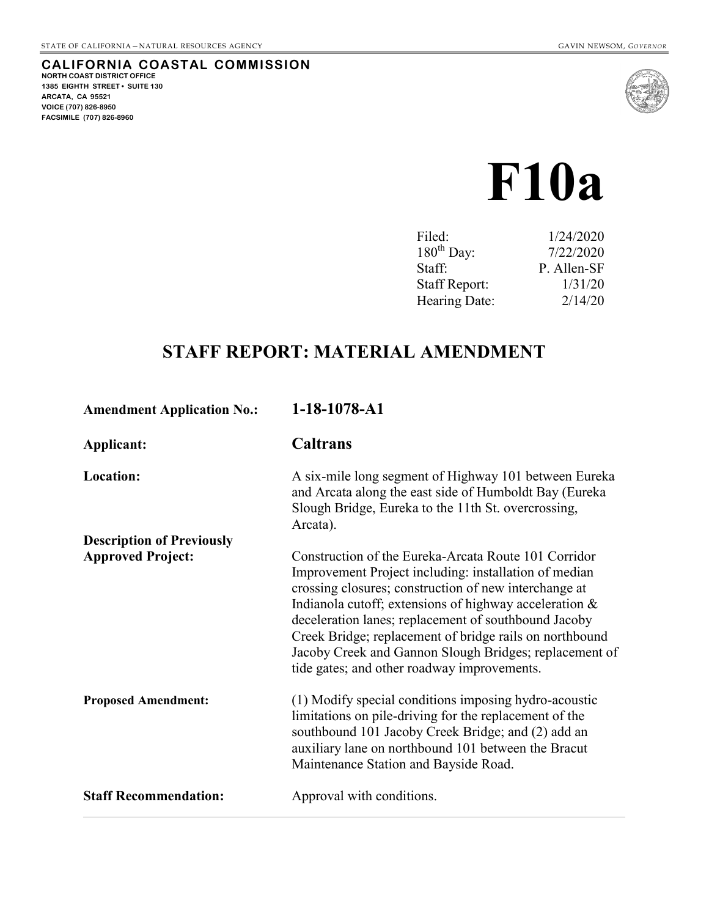**CALIFORNIA COASTAL COMMISSION NORTH COAST DISTRICT OFFICE 1385 EIGHTH STREET • SUITE 130 ARCATA, CA 95521 VOICE (707) 826-8950 FACSIMILE (707) 826-8960**



# **F10a**

|                      | 1/24/2020   |
|----------------------|-------------|
| $180^{th}$ Day:      | 7/22/2020   |
| Staff:               | P. Allen-SF |
| <b>Staff Report:</b> | 1/31/20     |
| Hearing Date:        | 2/14/20     |
|                      |             |

## **STAFF REPORT: MATERIAL AMENDMENT**

| <b>Amendment Application No.:</b> | 1-18-1078-A1                                                                                                                                                                                                                                                                                                                                                                                                                                                    |
|-----------------------------------|-----------------------------------------------------------------------------------------------------------------------------------------------------------------------------------------------------------------------------------------------------------------------------------------------------------------------------------------------------------------------------------------------------------------------------------------------------------------|
| Applicant:                        | Caltrans                                                                                                                                                                                                                                                                                                                                                                                                                                                        |
| <b>Location:</b>                  | A six-mile long segment of Highway 101 between Eureka<br>and Arcata along the east side of Humboldt Bay (Eureka<br>Slough Bridge, Eureka to the 11th St. overcrossing,<br>Arcata).                                                                                                                                                                                                                                                                              |
| <b>Description of Previously</b>  |                                                                                                                                                                                                                                                                                                                                                                                                                                                                 |
| <b>Approved Project:</b>          | Construction of the Eureka-Arcata Route 101 Corridor<br>Improvement Project including: installation of median<br>crossing closures; construction of new interchange at<br>Indianola cutoff; extensions of highway acceleration $\&$<br>deceleration lanes; replacement of southbound Jacoby<br>Creek Bridge; replacement of bridge rails on northbound<br>Jacoby Creek and Gannon Slough Bridges; replacement of<br>tide gates; and other roadway improvements. |
| <b>Proposed Amendment:</b>        | (1) Modify special conditions imposing hydro-acoustic<br>limitations on pile-driving for the replacement of the<br>southbound 101 Jacoby Creek Bridge; and (2) add an<br>auxiliary lane on northbound 101 between the Bracut<br>Maintenance Station and Bayside Road.                                                                                                                                                                                           |
| <b>Staff Recommendation:</b>      | Approval with conditions.                                                                                                                                                                                                                                                                                                                                                                                                                                       |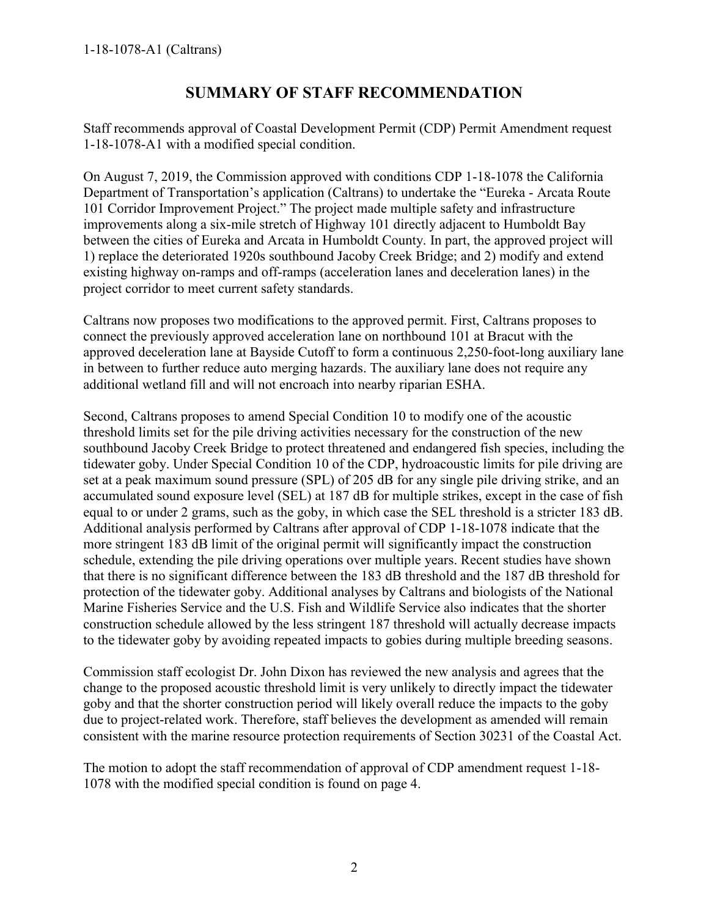## **SUMMARY OF STAFF RECOMMENDATION**

Staff recommends approval of Coastal Development Permit (CDP) Permit Amendment request 1-18-1078-A1 with a modified special condition.

On August 7, 2019, the Commission approved with conditions CDP 1-18-1078 the California Department of Transportation's application (Caltrans) to undertake the "Eureka - Arcata Route 101 Corridor Improvement Project." The project made multiple safety and infrastructure improvements along a six-mile stretch of Highway 101 directly adjacent to Humboldt Bay between the cities of Eureka and Arcata in Humboldt County. In part, the approved project will 1) replace the deteriorated 1920s southbound Jacoby Creek Bridge; and 2) modify and extend existing highway on-ramps and off-ramps (acceleration lanes and deceleration lanes) in the project corridor to meet current safety standards.

Caltrans now proposes two modifications to the approved permit. First, Caltrans proposes to connect the previously approved acceleration lane on northbound 101 at Bracut with the approved deceleration lane at Bayside Cutoff to form a continuous 2,250-foot-long auxiliary lane in between to further reduce auto merging hazards. The auxiliary lane does not require any additional wetland fill and will not encroach into nearby riparian ESHA.

Second, Caltrans proposes to amend Special Condition 10 to modify one of the acoustic threshold limits set for the pile driving activities necessary for the construction of the new southbound Jacoby Creek Bridge to protect threatened and endangered fish species, including the tidewater goby. Under Special Condition 10 of the CDP, hydroacoustic limits for pile driving are set at a peak maximum sound pressure (SPL) of 205 dB for any single pile driving strike, and an accumulated sound exposure level (SEL) at 187 dB for multiple strikes, except in the case of fish equal to or under 2 grams, such as the goby, in which case the SEL threshold is a stricter 183 dB. Additional analysis performed by Caltrans after approval of CDP 1-18-1078 indicate that the more stringent 183 dB limit of the original permit will significantly impact the construction schedule, extending the pile driving operations over multiple years. Recent studies have shown that there is no significant difference between the 183 dB threshold and the 187 dB threshold for protection of the tidewater goby. Additional analyses by Caltrans and biologists of the National Marine Fisheries Service and the U.S. Fish and Wildlife Service also indicates that the shorter construction schedule allowed by the less stringent 187 threshold will actually decrease impacts to the tidewater goby by avoiding repeated impacts to gobies during multiple breeding seasons.

Commission staff ecologist Dr. John Dixon has reviewed the new analysis and agrees that the change to the proposed acoustic threshold limit is very unlikely to directly impact the tidewater goby and that the shorter construction period will likely overall reduce the impacts to the goby due to project-related work. Therefore, staff believes the development as amended will remain consistent with the marine resource protection requirements of Section 30231 of the Coastal Act.

The motion to adopt the staff recommendation of approval of CDP amendment request 1-18- 1078 with the modified special condition is found on [page 4.](file://leopardshark1/Groups/Cristin/Permit_Review/Eureka/Waterfront_Trail/1-15-2054_(Eureka_Waterfront_Trail)newspecialcondition1.docx%23IMotion)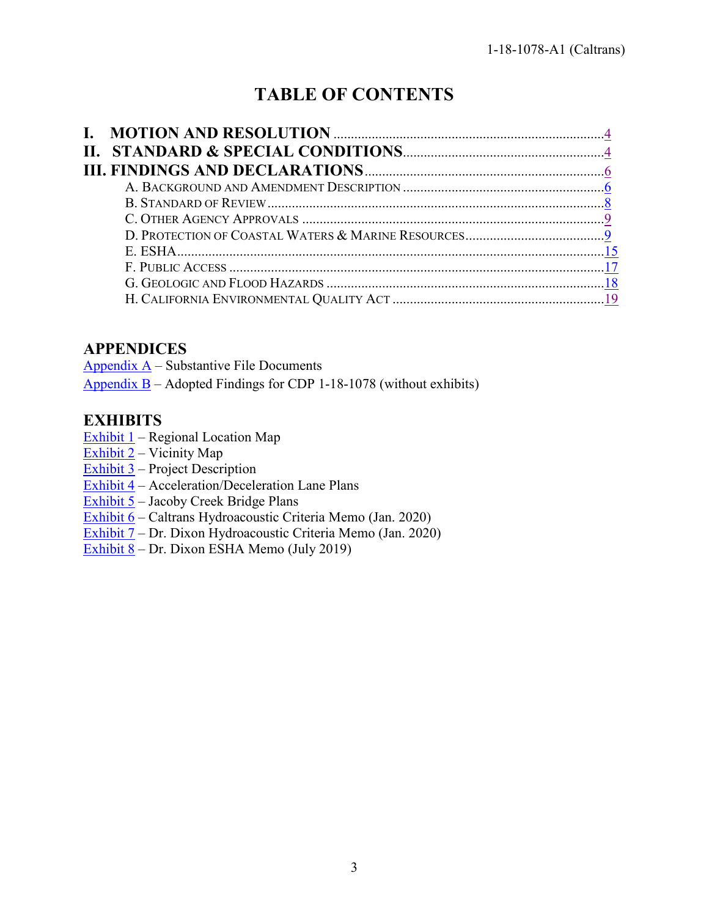# **TABLE OF CONTENTS**

## **APPENDICES**

Appendix  $A$  – Substantive File Documents Appendix  $B -$  Adopted Findings for CDP 1-18-1078 (without exhibits)

## **EXHIBITS**

- Exhibit  $1$  Regional Location Map
- [Exhibit 2](https://documents.coastal.ca.gov/reports/2020/2/F10a/F10a-2-2020-exhibits.pdf) Vicinity Map
- [Exhibit 3](https://documents.coastal.ca.gov/reports/2020/2/F10a/F10a-2-2020-exhibits.pdf) Project Description
- [Exhibit 4](https://documents.coastal.ca.gov/reports/2020/2/F10a/F10a-2-2020-exhibits.pdf) Acceleration/Deceleration Lane Plans
- $\overline{\text{Exhibit 5}}$  $\overline{\text{Exhibit 5}}$  $\overline{\text{Exhibit 5}}$  Jacoby Creek Bridge Plans
- [Exhibit 6](https://documents.coastal.ca.gov/reports/2020/2/F10a/F10a-2-2020-exhibits.pdf) Caltrans Hydroacoustic Criteria Memo (Jan. 2020)
- [Exhibit 7](https://documents.coastal.ca.gov/reports/2020/2/F10a/F10a-2-2020-exhibits.pdf) Dr. Dixon Hydroacoustic Criteria Memo (Jan. 2020)
- [Exhibit 8](https://documents.coastal.ca.gov/reports/2020/2/F10a/F10a-2-2020-exhibits.pdf) Dr. Dixon ESHA Memo (July 2019)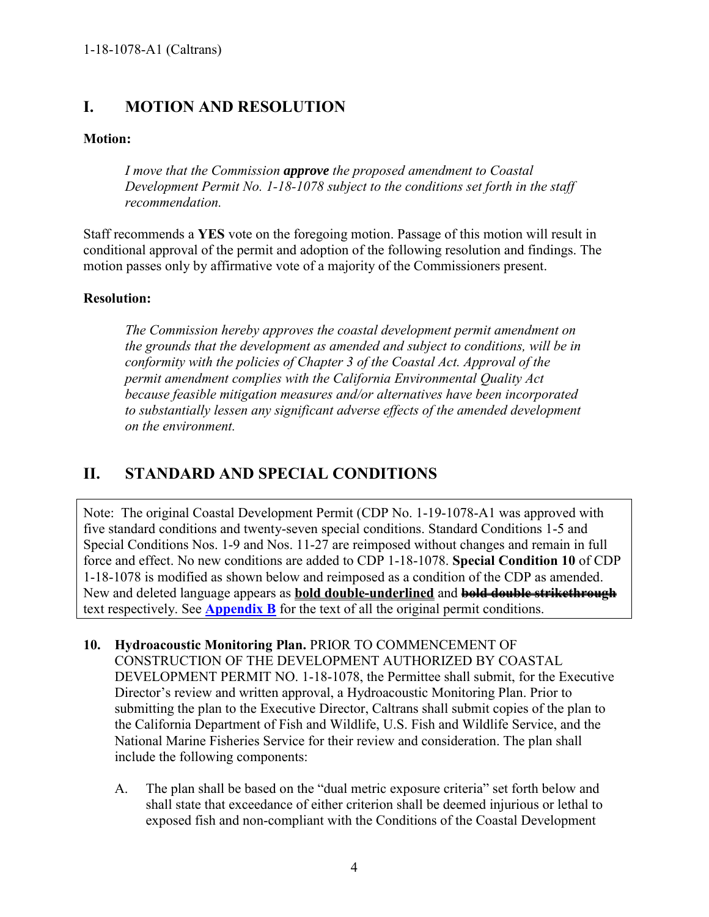## <span id="page-3-0"></span>**I. MOTION AND RESOLUTION**

#### **Motion:**

*I move that the Commission approve the proposed amendment to Coastal Development Permit No. 1-18-1078 subject to the conditions set forth in the staff recommendation.* 

Staff recommends a **YES** vote on the foregoing motion. Passage of this motion will result in conditional approval of the permit and adoption of the following resolution and findings. The motion passes only by affirmative vote of a majority of the Commissioners present.

#### **Resolution:**

*The Commission hereby approves the coastal development permit amendment on the grounds that the development as amended and subject to conditions, will be in conformity with the policies of Chapter 3 of the Coastal Act. Approval of the permit amendment complies with the California Environmental Quality Act because feasible mitigation measures and/or alternatives have been incorporated*  to substantially lessen any significant adverse effects of the amended development *on the environment.* 

## <span id="page-3-1"></span>**II. STANDARD AND SPECIAL CONDITIONS**

Note: The original Coastal Development Permit (CDP No. 1-19-1078-A1 was approved with five standard conditions and twenty-seven special conditions. Standard Conditions 1-5 and Special Conditions Nos. 1-9 and Nos. 11-27 are reimposed without changes and remain in full force and effect. No new conditions are added to CDP 1-18-1078. **Special Condition 10** of CDP 1-18-1078 is modified as shown below and reimposed as a condition of the CDP as amended. New and deleted language appears as **bold double-underlined** and **bold double strikethrough** text respectively. See **[Appendix B](https://documents.coastal.ca.gov/reports/2020/2/F10a/F10a-2-2020-appendix.pdf)** for the text of all the original permit conditions.

- **10. Hydroacoustic Monitoring Plan.** PRIOR TO COMMENCEMENT OF CONSTRUCTION OF THE DEVELOPMENT AUTHORIZED BY COASTAL DEVELOPMENT PERMIT NO. 1-18-1078, the Permittee shall submit, for the Executive Director's review and written approval, a Hydroacoustic Monitoring Plan. Prior to submitting the plan to the Executive Director, Caltrans shall submit copies of the plan to the California Department of Fish and Wildlife, U.S. Fish and Wildlife Service, and the National Marine Fisheries Service for their review and consideration. The plan shall include the following components:
	- A. The plan shall be based on the "dual metric exposure criteria" set forth below and shall state that exceedance of either criterion shall be deemed injurious or lethal to exposed fish and non-compliant with the Conditions of the Coastal Development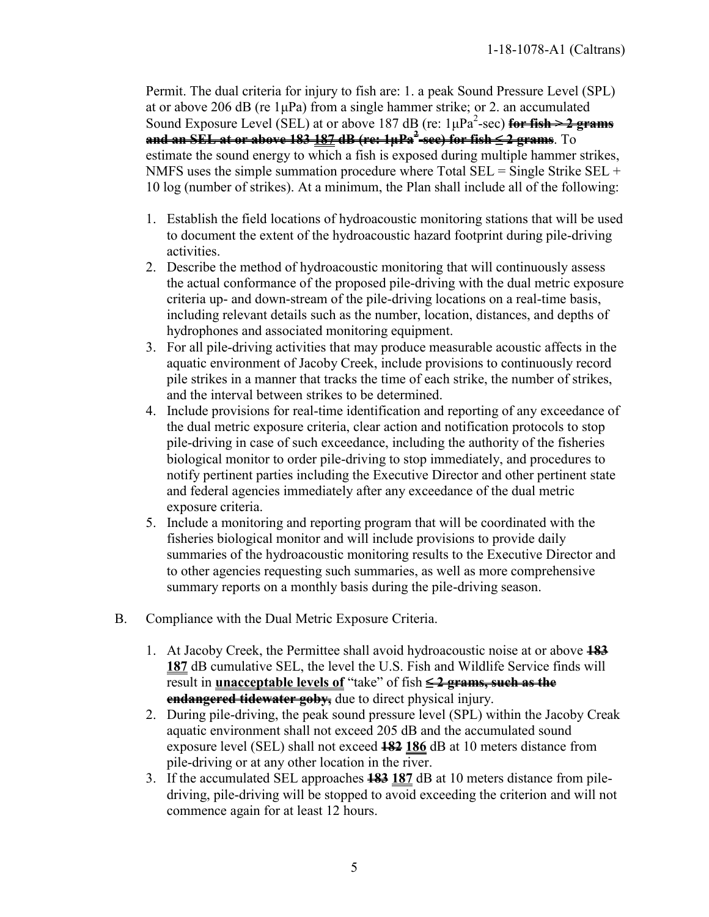Permit. The dual criteria for injury to fish are: 1. a peak Sound Pressure Level (SPL) at or above 206 dB (re  $1\mu$ Pa) from a single hammer strike; or 2. an accumulated Sound Exposure Level (SEL) at or above 187 dB (re: 1μPa<sup>2</sup>-sec) for fish > 2 grams **and an SEL at or above 183 187 dB (re: 1μPa<sup>2</sup> -sec) for fish ≤ 2 grams**. To estimate the sound energy to which a fish is exposed during multiple hammer strikes, NMFS uses the simple summation procedure where Total  $SEL =$  Single Strike  $SEL +$ 10 log (number of strikes). At a minimum, the Plan shall include all of the following:

- 1. Establish the field locations of hydroacoustic monitoring stations that will be used to document the extent of the hydroacoustic hazard footprint during pile-driving activities.
- 2. Describe the method of hydroacoustic monitoring that will continuously assess the actual conformance of the proposed pile-driving with the dual metric exposure criteria up- and down-stream of the pile-driving locations on a real-time basis, including relevant details such as the number, location, distances, and depths of hydrophones and associated monitoring equipment.
- 3. For all pile-driving activities that may produce measurable acoustic affects in the aquatic environment of Jacoby Creek, include provisions to continuously record pile strikes in a manner that tracks the time of each strike, the number of strikes, and the interval between strikes to be determined.
- 4. Include provisions for real-time identification and reporting of any exceedance of the dual metric exposure criteria, clear action and notification protocols to stop pile-driving in case of such exceedance, including the authority of the fisheries biological monitor to order pile-driving to stop immediately, and procedures to notify pertinent parties including the Executive Director and other pertinent state and federal agencies immediately after any exceedance of the dual metric exposure criteria.
- 5. Include a monitoring and reporting program that will be coordinated with the fisheries biological monitor and will include provisions to provide daily summaries of the hydroacoustic monitoring results to the Executive Director and to other agencies requesting such summaries, as well as more comprehensive summary reports on a monthly basis during the pile-driving season.
- B. Compliance with the Dual Metric Exposure Criteria.
	- 1. At Jacoby Creek, the Permittee shall avoid hydroacoustic noise at or above **183 187** dB cumulative SEL, the level the U.S. Fish and Wildlife Service finds will result in **unacceptable levels of** "take" of fish **≤ 2 grams, such as the endangered tidewater goby,** due to direct physical injury.
	- 2. During pile-driving, the peak sound pressure level (SPL) within the Jacoby Creak aquatic environment shall not exceed 205 dB and the accumulated sound exposure level (SEL) shall not exceed **182 186** dB at 10 meters distance from pile-driving or at any other location in the river.
	- 3. If the accumulated SEL approaches **183 187** dB at 10 meters distance from piledriving, pile-driving will be stopped to avoid exceeding the criterion and will not commence again for at least 12 hours.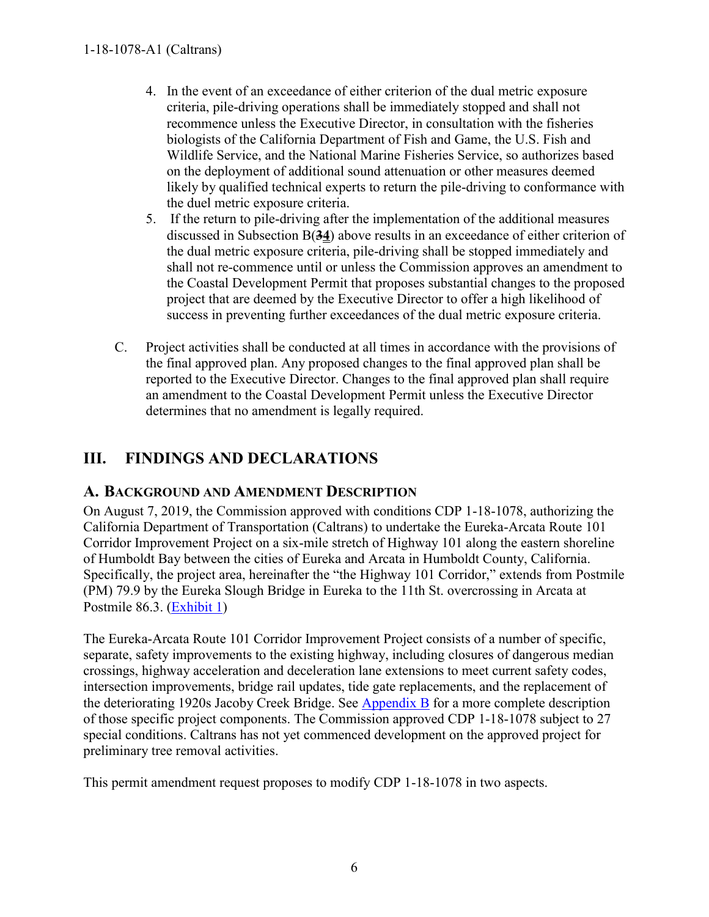- 4. In the event of an exceedance of either criterion of the dual metric exposure criteria, pile-driving operations shall be immediately stopped and shall not recommence unless the Executive Director, in consultation with the fisheries biologists of the California Department of Fish and Game, the U.S. Fish and Wildlife Service, and the National Marine Fisheries Service, so authorizes based on the deployment of additional sound attenuation or other measures deemed likely by qualified technical experts to return the pile-driving to conformance with the duel metric exposure criteria.
- 5. If the return to pile-driving after the implementation of the additional measures discussed in Subsection B(**34**) above results in an exceedance of either criterion of the dual metric exposure criteria, pile-driving shall be stopped immediately and shall not re-commence until or unless the Commission approves an amendment to the Coastal Development Permit that proposes substantial changes to the proposed project that are deemed by the Executive Director to offer a high likelihood of success in preventing further exceedances of the dual metric exposure criteria.
- C. Project activities shall be conducted at all times in accordance with the provisions of the final approved plan. Any proposed changes to the final approved plan shall be reported to the Executive Director. Changes to the final approved plan shall require an amendment to the Coastal Development Permit unless the Executive Director determines that no amendment is legally required.

## <span id="page-5-0"></span>**III. FINDINGS AND DECLARATIONS**

## <span id="page-5-1"></span>**A. BACKGROUND AND AMENDMENT DESCRIPTION**

On August 7, 2019, the Commission approved with conditions CDP 1-18-1078, authorizing the California Department of Transportation (Caltrans) to undertake the Eureka-Arcata Route 101 Corridor Improvement Project on a six-mile stretch of Highway 101 along the eastern shoreline of Humboldt Bay between the cities of Eureka and Arcata in Humboldt County, California. Specifically, the project area, hereinafter the "the Highway 101 Corridor," extends from Postmile (PM) 79.9 by the Eureka Slough Bridge in Eureka to the 11th St. overcrossing in Arcata at Postmile 86.3. [\(Exhibit 1\)](https://documents.coastal.ca.gov/reports/2020/2/F10a/F10a-2-2020-exhibits.pdf)

The Eureka-Arcata Route 101 Corridor Improvement Project consists of a number of specific, separate, safety improvements to the existing highway, including closures of dangerous median crossings, highway acceleration and deceleration lane extensions to meet current safety codes, intersection improvements, bridge rail updates, tide gate replacements, and the replacement of the deteriorating 1920s Jacoby Creek Bridge. See [Appendix B](https://documents.coastal.ca.gov/reports/2020/2/F10a/F10a-2-2020-appendix.pdf) for a more complete description of those specific project components. The Commission approved CDP 1-18-1078 subject to 27 special conditions. Caltrans has not yet commenced development on the approved project for preliminary tree removal activities.

This permit amendment request proposes to modify CDP 1-18-1078 in two aspects.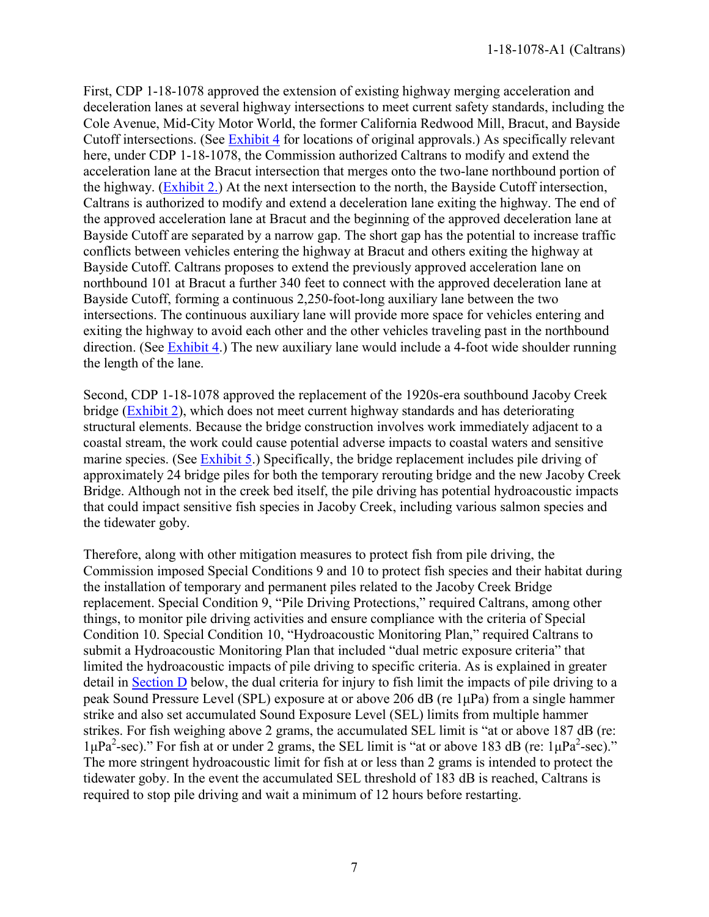First, CDP 1-18-1078 approved the extension of existing highway merging acceleration and deceleration lanes at several highway intersections to meet current safety standards, including the Cole Avenue, Mid-City Motor World, the former California Redwood Mill, Bracut, and Bayside Cutoff intersections. (See [Exhibit 4](https://documents.coastal.ca.gov/reports/2020/2/F10a/F10a-2-2020-exhibits.pdf) for locations of original approvals.) As specifically relevant here, under CDP 1-18-1078, the Commission authorized Caltrans to modify and extend the acceleration lane at the Bracut intersection that merges onto the two-lane northbound portion of the highway. [\(Exhibit 2.\)](https://documents.coastal.ca.gov/reports/2020/2/F10a/F10a-2-2020-exhibits.pdf) At the next intersection to the north, the Bayside Cutoff intersection, Caltrans is authorized to modify and extend a deceleration lane exiting the highway. The end of the approved acceleration lane at Bracut and the beginning of the approved deceleration lane at Bayside Cutoff are separated by a narrow gap. The short gap has the potential to increase traffic conflicts between vehicles entering the highway at Bracut and others exiting the highway at Bayside Cutoff. Caltrans proposes to extend the previously approved acceleration lane on northbound 101 at Bracut a further 340 feet to connect with the approved deceleration lane at Bayside Cutoff, forming a continuous 2,250-foot-long auxiliary lane between the two intersections. The continuous auxiliary lane will provide more space for vehicles entering and exiting the highway to avoid each other and the other vehicles traveling past in the northbound direction. (See [Exhibit 4.](https://documents.coastal.ca.gov/reports/2020/2/F10a/F10a-2-2020-exhibits.pdf)) The new auxiliary lane would include a 4-foot wide shoulder running the length of the lane.

Second, CDP 1-18-1078 approved the replacement of the 1920s-era southbound Jacoby Creek bridge [\(Exhibit 2\)](https://documents.coastal.ca.gov/reports/2020/2/F10a/F10a-2-2020-exhibits.pdf), which does not meet current highway standards and has deteriorating structural elements. Because the bridge construction involves work immediately adjacent to a coastal stream, the work could cause potential adverse impacts to coastal waters and sensitive marine species. (See [Exhibit 5.](https://documents.coastal.ca.gov/reports/2020/2/F10a/F10a-2-2020-exhibits.pdf)) Specifically, the bridge replacement includes pile driving of approximately 24 bridge piles for both the temporary rerouting bridge and the new Jacoby Creek Bridge. Although not in the creek bed itself, the pile driving has potential hydroacoustic impacts that could impact sensitive fish species in Jacoby Creek, including various salmon species and the tidewater goby.

Therefore, along with other mitigation measures to protect fish from pile driving, the Commission imposed Special Conditions 9 and 10 to protect fish species and their habitat during the installation of temporary and permanent piles related to the Jacoby Creek Bridge replacement. Special Condition 9, "Pile Driving Protections," required Caltrans, among other things, to monitor pile driving activities and ensure compliance with the criteria of Special Condition 10. Special Condition 10, "Hydroacoustic Monitoring Plan," required Caltrans to submit a Hydroacoustic Monitoring Plan that included "dual metric exposure criteria" that limited the hydroacoustic impacts of pile driving to specific criteria. As is explained in greater detail in [Section D](#page-8-1) below, the dual criteria for injury to fish limit the impacts of pile driving to a peak Sound Pressure Level (SPL) exposure at or above 206 dB (re 1μPa) from a single hammer strike and also set accumulated Sound Exposure Level (SEL) limits from multiple hammer strikes. For fish weighing above 2 grams, the accumulated SEL limit is "at or above 187 dB (re:  $1\mu\text{Pa}^2\text{-sec}$ ." For fish at or under 2 grams, the SEL limit is "at or above 183 dB (re:  $1\mu\text{Pa}^2\text{-sec}$ )." The more stringent hydroacoustic limit for fish at or less than 2 grams is intended to protect the tidewater goby. In the event the accumulated SEL threshold of 183 dB is reached, Caltrans is required to stop pile driving and wait a minimum of 12 hours before restarting.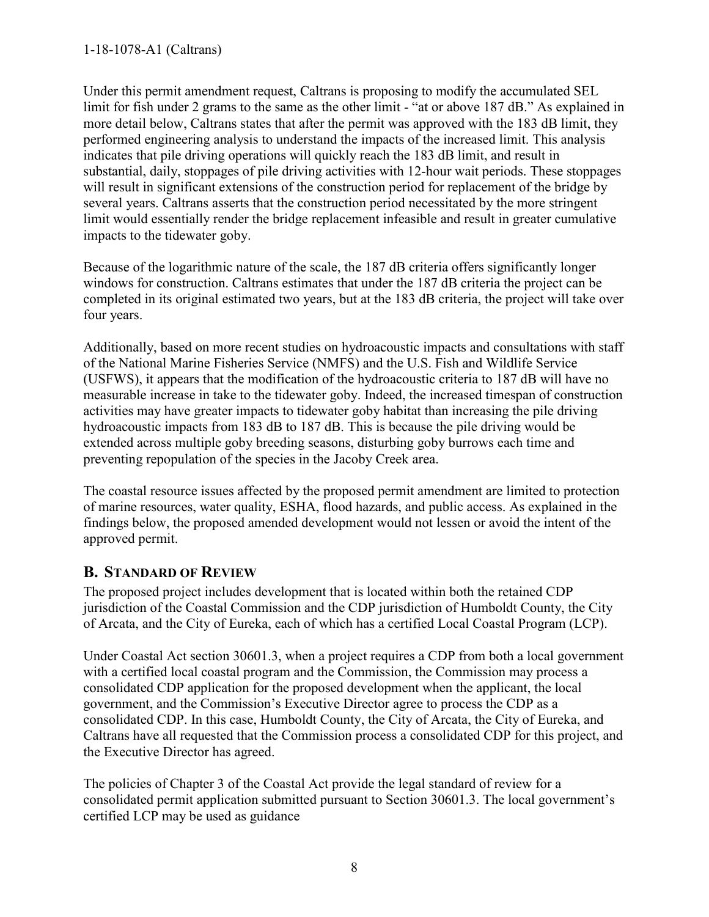Under this permit amendment request, Caltrans is proposing to modify the accumulated SEL limit for fish under 2 grams to the same as the other limit - "at or above 187 dB." As explained in more detail below, Caltrans states that after the permit was approved with the 183 dB limit, they performed engineering analysis to understand the impacts of the increased limit. This analysis indicates that pile driving operations will quickly reach the 183 dB limit, and result in substantial, daily, stoppages of pile driving activities with 12-hour wait periods. These stoppages will result in significant extensions of the construction period for replacement of the bridge by several years. Caltrans asserts that the construction period necessitated by the more stringent limit would essentially render the bridge replacement infeasible and result in greater cumulative impacts to the tidewater goby.

Because of the logarithmic nature of the scale, the 187 dB criteria offers significantly longer windows for construction. Caltrans estimates that under the 187 dB criteria the project can be completed in its original estimated two years, but at the 183 dB criteria, the project will take over four years.

Additionally, based on more recent studies on hydroacoustic impacts and consultations with staff of the National Marine Fisheries Service (NMFS) and the U.S. Fish and Wildlife Service (USFWS), it appears that the modification of the hydroacoustic criteria to 187 dB will have no measurable increase in take to the tidewater goby. Indeed, the increased timespan of construction activities may have greater impacts to tidewater goby habitat than increasing the pile driving hydroacoustic impacts from 183 dB to 187 dB. This is because the pile driving would be extended across multiple goby breeding seasons, disturbing goby burrows each time and preventing repopulation of the species in the Jacoby Creek area.

The coastal resource issues affected by the proposed permit amendment are limited to protection of marine resources, water quality, ESHA, flood hazards, and public access. As explained in the findings below, the proposed amended development would not lessen or avoid the intent of the approved permit.

## <span id="page-7-0"></span>**B. STANDARD OF REVIEW**

The proposed project includes development that is located within both the retained CDP jurisdiction of the Coastal Commission and the CDP jurisdiction of Humboldt County, the City of Arcata, and the City of Eureka, each of which has a certified Local Coastal Program (LCP).

Under Coastal Act section 30601.3, when a project requires a CDP from both a local government with a certified local coastal program and the Commission, the Commission may process a consolidated CDP application for the proposed development when the applicant, the local government, and the Commission's Executive Director agree to process the CDP as a consolidated CDP. In this case, Humboldt County, the City of Arcata, the City of Eureka, and Caltrans have all requested that the Commission process a consolidated CDP for this project, and the Executive Director has agreed.

The policies of Chapter 3 of the Coastal Act provide the legal standard of review for a consolidated permit application submitted pursuant to Section 30601.3. The local government's certified LCP may be used as guidance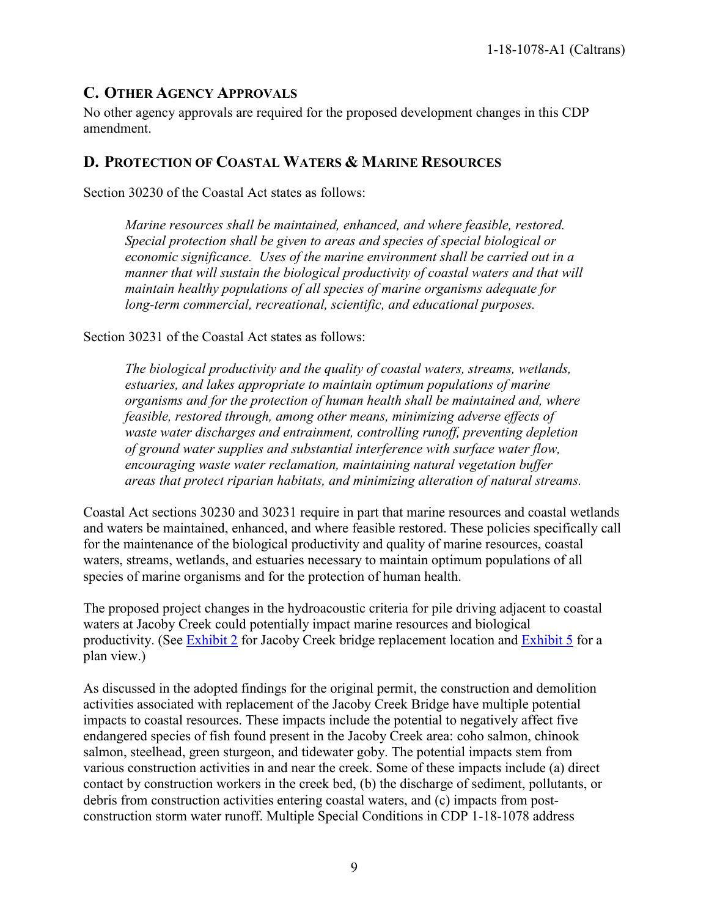## <span id="page-8-0"></span>**C. OTHER AGENCY APPROVALS**

No other agency approvals are required for the proposed development changes in this CDP amendment.

## <span id="page-8-1"></span>**D. PROTECTION OF COASTAL WATERS & MARINE RESOURCES**

Section 30230 of the Coastal Act states as follows:

*Marine resources shall be maintained, enhanced, and where feasible, restored. Special protection shall be given to areas and species of special biological or economic significance. Uses of the marine environment shall be carried out in a manner that will sustain the biological productivity of coastal waters and that will maintain healthy populations of all species of marine organisms adequate for long-term commercial, recreational, scientific, and educational purposes.* 

Section 30231 of the Coastal Act states as follows:

*The biological productivity and the quality of coastal waters, streams, wetlands, estuaries, and lakes appropriate to maintain optimum populations of marine organisms and for the protection of human health shall be maintained and, where feasible, restored through, among other means, minimizing adverse effects of waste water discharges and entrainment, controlling runoff, preventing depletion of ground water supplies and substantial interference with surface water flow, encouraging waste water reclamation, maintaining natural vegetation buffer areas that protect riparian habitats, and minimizing alteration of natural streams.* 

Coastal Act sections 30230 and 30231 require in part that marine resources and coastal wetlands and waters be maintained, enhanced, and where feasible restored. These policies specifically call for the maintenance of the biological productivity and quality of marine resources, coastal waters, streams, wetlands, and estuaries necessary to maintain optimum populations of all species of marine organisms and for the protection of human health.

The proposed project changes in the hydroacoustic criteria for pile driving adjacent to coastal waters at Jacoby Creek could potentially impact marine resources and biological productivity. (See [Exhibit 2](https://documents.coastal.ca.gov/reports/2020/2/F10a/F10a-2-2020-exhibits.pdf) for Jacoby Creek bridge replacement location and [Exhibit 5](https://documents.coastal.ca.gov/reports/2020/2/F10a/F10a-2-2020-exhibits.pdf) for a plan view.)

As discussed in the adopted findings for the original permit, the construction and demolition activities associated with replacement of the Jacoby Creek Bridge have multiple potential impacts to coastal resources. These impacts include the potential to negatively affect five endangered species of fish found present in the Jacoby Creek area: coho salmon, chinook salmon, steelhead, green sturgeon, and tidewater goby. The potential impacts stem from various construction activities in and near the creek. Some of these impacts include (a) direct contact by construction workers in the creek bed, (b) the discharge of sediment, pollutants, or debris from construction activities entering coastal waters, and (c) impacts from postconstruction storm water runoff. Multiple Special Conditions in CDP 1-18-1078 address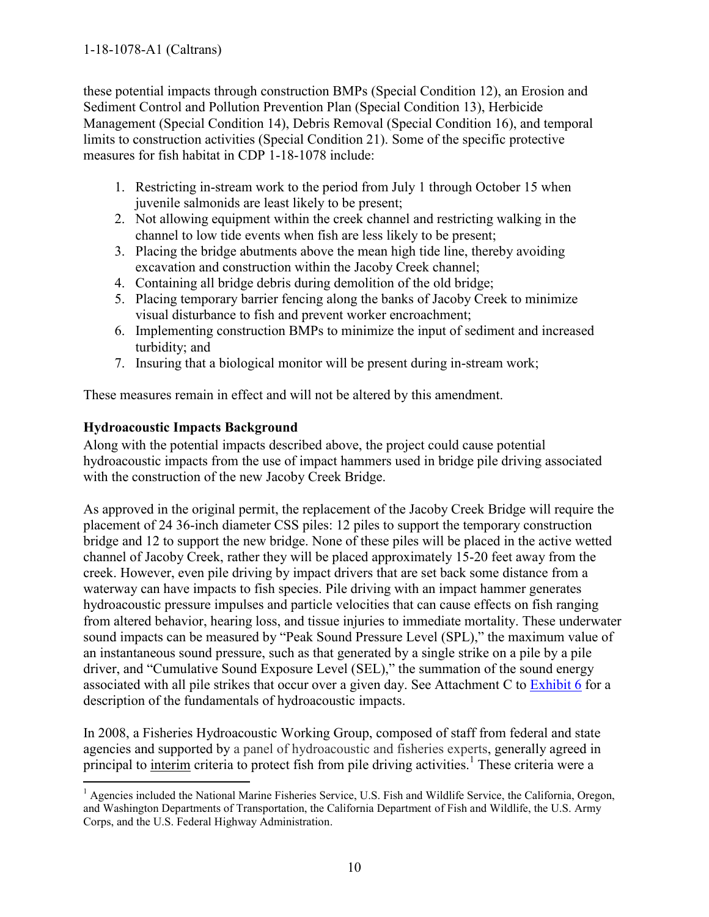#### 1-18-1078-A1 (Caltrans)

these potential impacts through construction BMPs (Special Condition 12), an Erosion and Sediment Control and Pollution Prevention Plan (Special Condition 13), Herbicide Management (Special Condition 14), Debris Removal (Special Condition 16), and temporal limits to construction activities (Special Condition 21). Some of the specific protective measures for fish habitat in CDP 1-18-1078 include:

- 1. Restricting in-stream work to the period from July 1 through October 15 when juvenile salmonids are least likely to be present;
- 2. Not allowing equipment within the creek channel and restricting walking in the channel to low tide events when fish are less likely to be present;
- 3. Placing the bridge abutments above the mean high tide line, thereby avoiding excavation and construction within the Jacoby Creek channel;
- 4. Containing all bridge debris during demolition of the old bridge;
- 5. Placing temporary barrier fencing along the banks of Jacoby Creek to minimize visual disturbance to fish and prevent worker encroachment;
- 6. Implementing construction BMPs to minimize the input of sediment and increased turbidity; and
- 7. Insuring that a biological monitor will be present during in-stream work;

These measures remain in effect and will not be altered by this amendment.

#### **Hydroacoustic Impacts Background**

 $\overline{a}$ 

Along with the potential impacts described above, the project could cause potential hydroacoustic impacts from the use of impact hammers used in bridge pile driving associated with the construction of the new Jacoby Creek Bridge.

As approved in the original permit, the replacement of the Jacoby Creek Bridge will require the placement of 24 36-inch diameter CSS piles: 12 piles to support the temporary construction bridge and 12 to support the new bridge. None of these piles will be placed in the active wetted channel of Jacoby Creek, rather they will be placed approximately 15-20 feet away from the creek. However, even pile driving by impact drivers that are set back some distance from a waterway can have impacts to fish species. Pile driving with an impact hammer generates hydroacoustic pressure impulses and particle velocities that can cause effects on fish ranging from altered behavior, hearing loss, and tissue injuries to immediate mortality. These underwater sound impacts can be measured by "Peak Sound Pressure Level (SPL)," the maximum value of an instantaneous sound pressure, such as that generated by a single strike on a pile by a pile driver, and "Cumulative Sound Exposure Level (SEL)," the summation of the sound energy associated with all pile strikes that occur over a given day. See Attachment C to [Exhibit 6](https://documents.coastal.ca.gov/reports/2020/2/F10a/F10a-2-2020-exhibits.pdf) for a description of the fundamentals of hydroacoustic impacts.

In 2008, a Fisheries Hydroacoustic Working Group, composed of staff from federal and state agencies and supported by a panel of hydroacoustic and fisheries experts, generally agreed in principal to *interim* criteria to protect fish from pile driving activities.<sup>1</sup> These criteria were a

<sup>&</sup>lt;sup>1</sup> Agencies included the National Marine Fisheries Service, U.S. Fish and Wildlife Service, the California, Oregon, and Washington Departments of Transportation, the California Department of Fish and Wildlife, the U.S. Army Corps, and the U.S. Federal Highway Administration.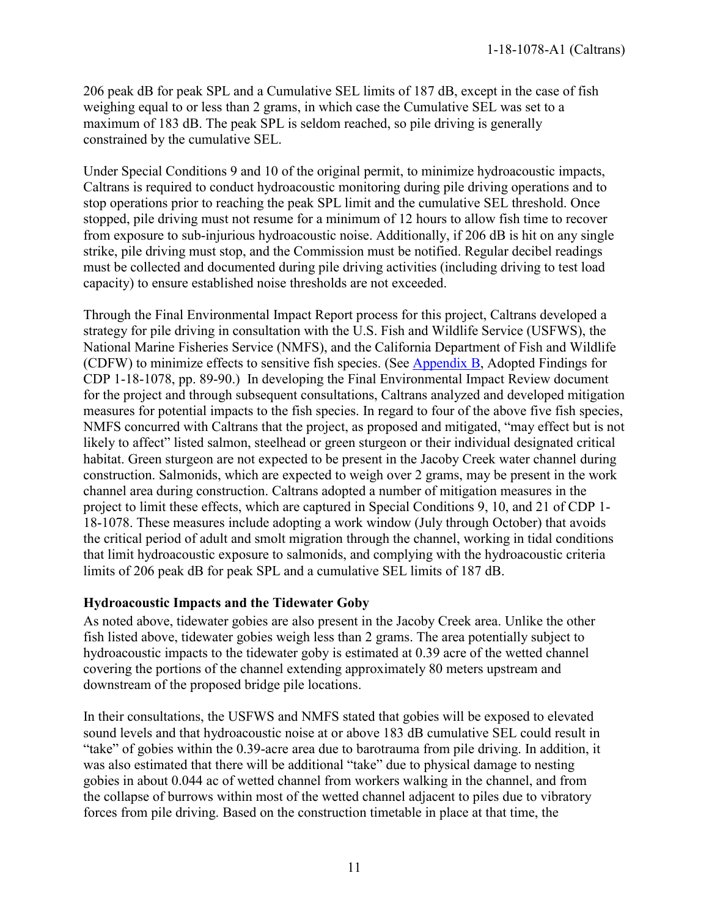206 peak dB for peak SPL and a Cumulative SEL limits of 187 dB, except in the case of fish weighing equal to or less than 2 grams, in which case the Cumulative SEL was set to a maximum of 183 dB. The peak SPL is seldom reached, so pile driving is generally constrained by the cumulative SEL.

Under Special Conditions 9 and 10 of the original permit, to minimize hydroacoustic impacts, Caltrans is required to conduct hydroacoustic monitoring during pile driving operations and to stop operations prior to reaching the peak SPL limit and the cumulative SEL threshold. Once stopped, pile driving must not resume for a minimum of 12 hours to allow fish time to recover from exposure to sub-injurious hydroacoustic noise. Additionally, if 206 dB is hit on any single strike, pile driving must stop, and the Commission must be notified. Regular decibel readings must be collected and documented during pile driving activities (including driving to test load capacity) to ensure established noise thresholds are not exceeded.

Through the Final Environmental Impact Report process for this project, Caltrans developed a strategy for pile driving in consultation with the U.S. Fish and Wildlife Service (USFWS), the National Marine Fisheries Service (NMFS), and the California Department of Fish and Wildlife (CDFW) to minimize effects to sensitive fish species. (See [Appendix B,](https://documents.coastal.ca.gov/reports/2020/2/F10a/F10a-2-2020-appendix.pdf) Adopted Findings for CDP 1-18-1078, pp. 89-90.) In developing the Final Environmental Impact Review document for the project and through subsequent consultations, Caltrans analyzed and developed mitigation measures for potential impacts to the fish species. In regard to four of the above five fish species, NMFS concurred with Caltrans that the project, as proposed and mitigated, "may effect but is not likely to affect" listed salmon, steelhead or green sturgeon or their individual designated critical habitat. Green sturgeon are not expected to be present in the Jacoby Creek water channel during construction. Salmonids, which are expected to weigh over 2 grams, may be present in the work channel area during construction. Caltrans adopted a number of mitigation measures in the project to limit these effects, which are captured in Special Conditions 9, 10, and 21 of CDP 1- 18-1078. These measures include adopting a work window (July through October) that avoids the critical period of adult and smolt migration through the channel, working in tidal conditions that limit hydroacoustic exposure to salmonids, and complying with the hydroacoustic criteria limits of 206 peak dB for peak SPL and a cumulative SEL limits of 187 dB.

#### **Hydroacoustic Impacts and the Tidewater Goby**

As noted above, tidewater gobies are also present in the Jacoby Creek area. Unlike the other fish listed above, tidewater gobies weigh less than 2 grams. The area potentially subject to hydroacoustic impacts to the tidewater goby is estimated at 0.39 acre of the wetted channel covering the portions of the channel extending approximately 80 meters upstream and downstream of the proposed bridge pile locations.

In their consultations, the USFWS and NMFS stated that gobies will be exposed to elevated sound levels and that hydroacoustic noise at or above 183 dB cumulative SEL could result in "take" of gobies within the 0.39-acre area due to barotrauma from pile driving. In addition, it was also estimated that there will be additional "take" due to physical damage to nesting gobies in about 0.044 ac of wetted channel from workers walking in the channel, and from the collapse of burrows within most of the wetted channel adjacent to piles due to vibratory forces from pile driving. Based on the construction timetable in place at that time, the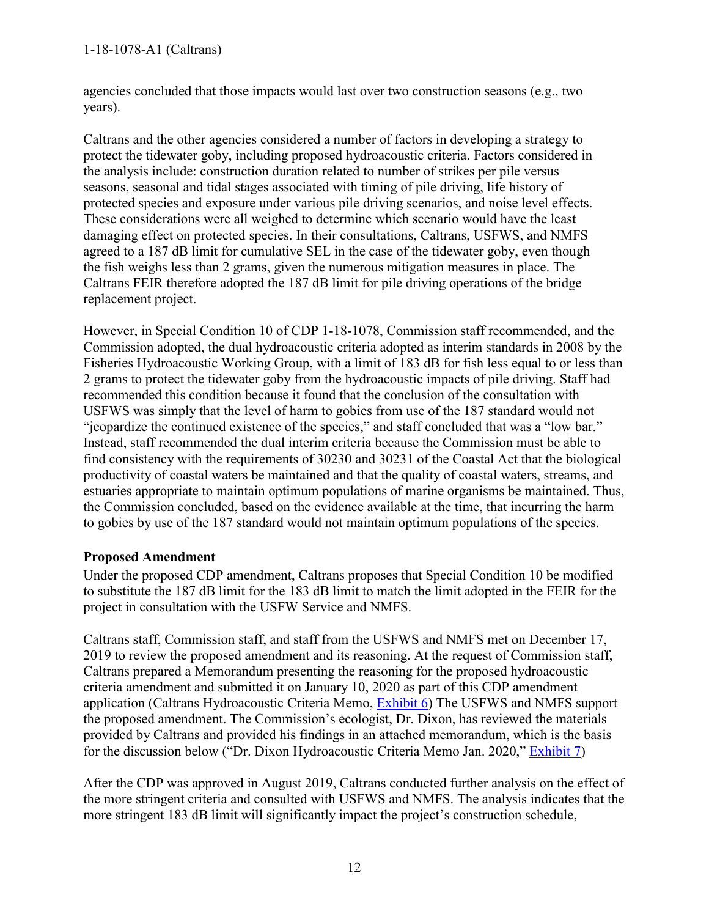#### 1-18-1078-A1 (Caltrans)

agencies concluded that those impacts would last over two construction seasons (e.g., two years).

Caltrans and the other agencies considered a number of factors in developing a strategy to protect the tidewater goby, including proposed hydroacoustic criteria. Factors considered in the analysis include: construction duration related to number of strikes per pile versus seasons, seasonal and tidal stages associated with timing of pile driving, life history of protected species and exposure under various pile driving scenarios, and noise level effects. These considerations were all weighed to determine which scenario would have the least damaging effect on protected species. In their consultations, Caltrans, USFWS, and NMFS agreed to a 187 dB limit for cumulative SEL in the case of the tidewater goby, even though the fish weighs less than 2 grams, given the numerous mitigation measures in place. The Caltrans FEIR therefore adopted the 187 dB limit for pile driving operations of the bridge replacement project.

However, in Special Condition 10 of CDP 1-18-1078, Commission staff recommended, and the Commission adopted, the dual hydroacoustic criteria adopted as interim standards in 2008 by the Fisheries Hydroacoustic Working Group, with a limit of 183 dB for fish less equal to or less than 2 grams to protect the tidewater goby from the hydroacoustic impacts of pile driving. Staff had recommended this condition because it found that the conclusion of the consultation with USFWS was simply that the level of harm to gobies from use of the 187 standard would not "jeopardize the continued existence of the species," and staff concluded that was a "low bar." Instead, staff recommended the dual interim criteria because the Commission must be able to find consistency with the requirements of 30230 and 30231 of the Coastal Act that the biological productivity of coastal waters be maintained and that the quality of coastal waters, streams, and estuaries appropriate to maintain optimum populations of marine organisms be maintained. Thus, the Commission concluded, based on the evidence available at the time, that incurring the harm to gobies by use of the 187 standard would not maintain optimum populations of the species.

#### **Proposed Amendment**

Under the proposed CDP amendment, Caltrans proposes that Special Condition 10 be modified to substitute the 187 dB limit for the 183 dB limit to match the limit adopted in the FEIR for the project in consultation with the USFW Service and NMFS.

Caltrans staff, Commission staff, and staff from the USFWS and NMFS met on December 17, 2019 to review the proposed amendment and its reasoning. At the request of Commission staff, Caltrans prepared a Memorandum presenting the reasoning for the proposed hydroacoustic criteria amendment and submitted it on January 10, 2020 as part of this CDP amendment application (Caltrans Hydroacoustic Criteria Memo, [Exhibit 6\)](https://documents.coastal.ca.gov/reports/2020/2/F10a/F10a-2-2020-exhibits.pdf) The USFWS and NMFS support the proposed amendment. The Commission's ecologist, Dr. Dixon, has reviewed the materials provided by Caltrans and provided his findings in an attached memorandum, which is the basis for the discussion below ("Dr. Dixon Hydroacoustic Criteria Memo Jan. 2020," [Exhibit 7\)](https://documents.coastal.ca.gov/reports/2020/2/F10a/F10a-2-2020-exhibits.pdf)

After the CDP was approved in August 2019, Caltrans conducted further analysis on the effect of the more stringent criteria and consulted with USFWS and NMFS. The analysis indicates that the more stringent 183 dB limit will significantly impact the project's construction schedule,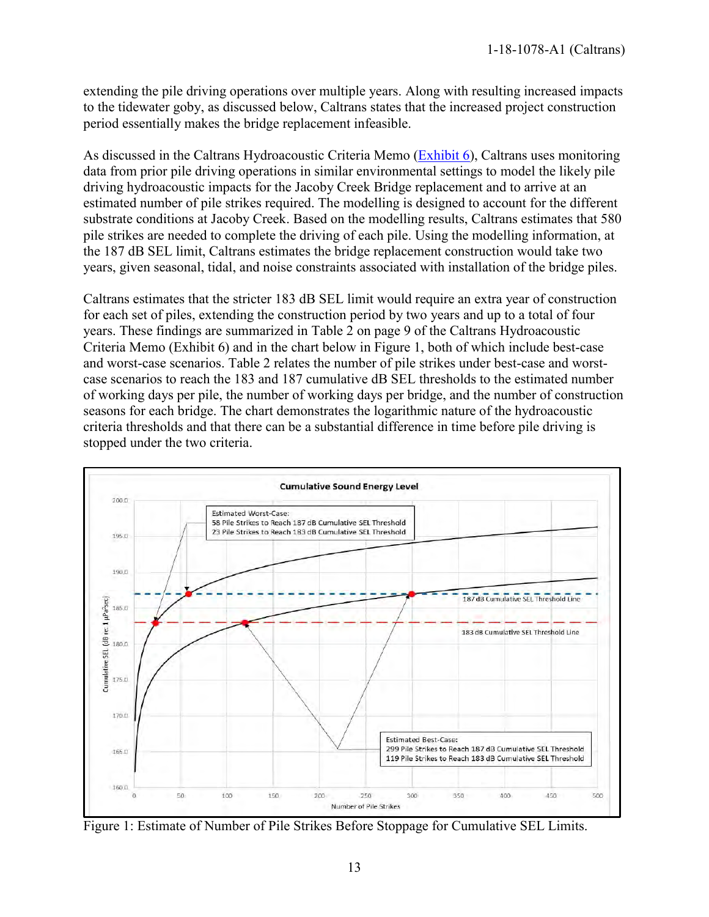extending the pile driving operations over multiple years. Along with resulting increased impacts to the tidewater goby, as discussed below, Caltrans states that the increased project construction period essentially makes the bridge replacement infeasible.

As discussed in the Caltrans Hydroacoustic Criteria Memo [\(Exhibit 6\)](https://documents.coastal.ca.gov/reports/2020/2/F10a/F10a-2-2020-exhibits.pdf), Caltrans uses monitoring data from prior pile driving operations in similar environmental settings to model the likely pile driving hydroacoustic impacts for the Jacoby Creek Bridge replacement and to arrive at an estimated number of pile strikes required. The modelling is designed to account for the different substrate conditions at Jacoby Creek. Based on the modelling results, Caltrans estimates that 580 pile strikes are needed to complete the driving of each pile. Using the modelling information, at the 187 dB SEL limit, Caltrans estimates the bridge replacement construction would take two years, given seasonal, tidal, and noise constraints associated with installation of the bridge piles.

Caltrans estimates that the stricter 183 dB SEL limit would require an extra year of construction for each set of piles, extending the construction period by two years and up to a total of four years. These findings are summarized in Table 2 on page 9 of the Caltrans Hydroacoustic Criteria Memo (Exhibit 6) and in the chart below in Figure 1, both of which include best-case and worst-case scenarios. Table 2 relates the number of pile strikes under best-case and worstcase scenarios to reach the 183 and 187 cumulative dB SEL thresholds to the estimated number of working days per pile, the number of working days per bridge, and the number of construction seasons for each bridge. The chart demonstrates the logarithmic nature of the hydroacoustic criteria thresholds and that there can be a substantial difference in time before pile driving is stopped under the two criteria.



Figure 1: Estimate of Number of Pile Strikes Before Stoppage for Cumulative SEL Limits.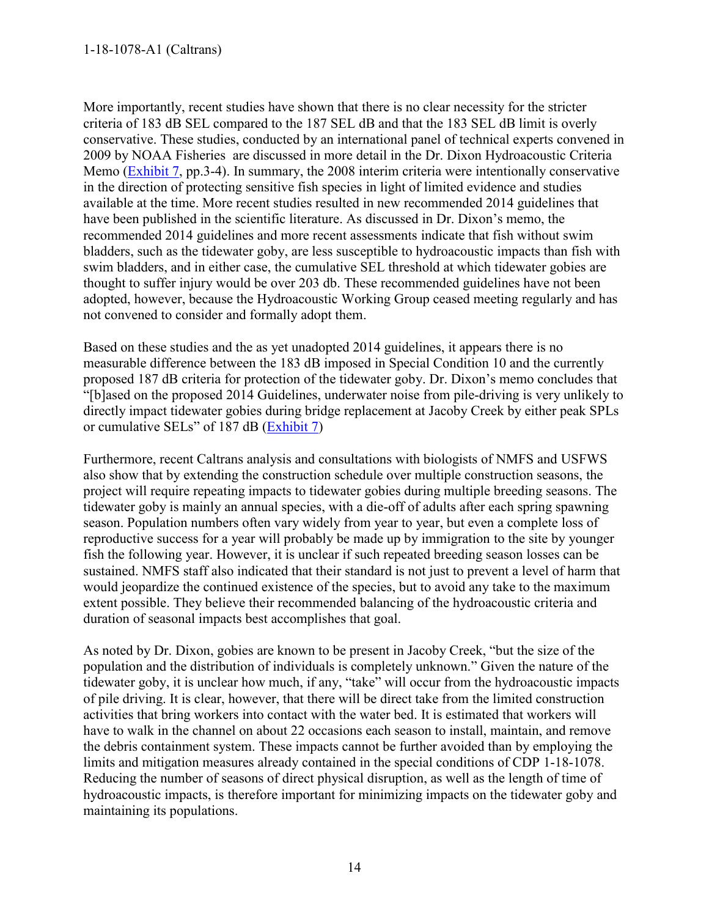More importantly, recent studies have shown that there is no clear necessity for the stricter criteria of 183 dB SEL compared to the 187 SEL dB and that the 183 SEL dB limit is overly conservative. These studies, conducted by an international panel of technical experts convened in 2009 by NOAA Fisheries are discussed in more detail in the Dr. Dixon Hydroacoustic Criteria Memo [\(Exhibit 7,](https://documents.coastal.ca.gov/reports/2020/2/F10a/F10a-2-2020-exhibits.pdf) pp.3-4). In summary, the 2008 interim criteria were intentionally conservative in the direction of protecting sensitive fish species in light of limited evidence and studies available at the time. More recent studies resulted in new recommended 2014 guidelines that have been published in the scientific literature. As discussed in Dr. Dixon's memo, the recommended 2014 guidelines and more recent assessments indicate that fish without swim bladders, such as the tidewater goby, are less susceptible to hydroacoustic impacts than fish with swim bladders, and in either case, the cumulative SEL threshold at which tidewater gobies are thought to suffer injury would be over 203 db. These recommended guidelines have not been adopted, however, because the Hydroacoustic Working Group ceased meeting regularly and has not convened to consider and formally adopt them.

Based on these studies and the as yet unadopted 2014 guidelines, it appears there is no measurable difference between the 183 dB imposed in Special Condition 10 and the currently proposed 187 dB criteria for protection of the tidewater goby. Dr. Dixon's memo concludes that "[b]ased on the proposed 2014 Guidelines, underwater noise from pile-driving is very unlikely to directly impact tidewater gobies during bridge replacement at Jacoby Creek by either peak SPLs or cumulative SELs" of 187 dB [\(Exhibit 7\)](https://documents.coastal.ca.gov/reports/2020/2/F10a/F10a-2-2020-exhibits.pdf)

Furthermore, recent Caltrans analysis and consultations with biologists of NMFS and USFWS also show that by extending the construction schedule over multiple construction seasons, the project will require repeating impacts to tidewater gobies during multiple breeding seasons. The tidewater goby is mainly an annual species, with a die-off of adults after each spring spawning season. Population numbers often vary widely from year to year, but even a complete loss of reproductive success for a year will probably be made up by immigration to the site by younger fish the following year. However, it is unclear if such repeated breeding season losses can be sustained. NMFS staff also indicated that their standard is not just to prevent a level of harm that would jeopardize the continued existence of the species, but to avoid any take to the maximum extent possible. They believe their recommended balancing of the hydroacoustic criteria and duration of seasonal impacts best accomplishes that goal.

As noted by Dr. Dixon, gobies are known to be present in Jacoby Creek, "but the size of the population and the distribution of individuals is completely unknown." Given the nature of the tidewater goby, it is unclear how much, if any, "take" will occur from the hydroacoustic impacts of pile driving. It is clear, however, that there will be direct take from the limited construction activities that bring workers into contact with the water bed. It is estimated that workers will have to walk in the channel on about 22 occasions each season to install, maintain, and remove the debris containment system. These impacts cannot be further avoided than by employing the limits and mitigation measures already contained in the special conditions of CDP 1-18-1078. Reducing the number of seasons of direct physical disruption, as well as the length of time of hydroacoustic impacts, is therefore important for minimizing impacts on the tidewater goby and maintaining its populations.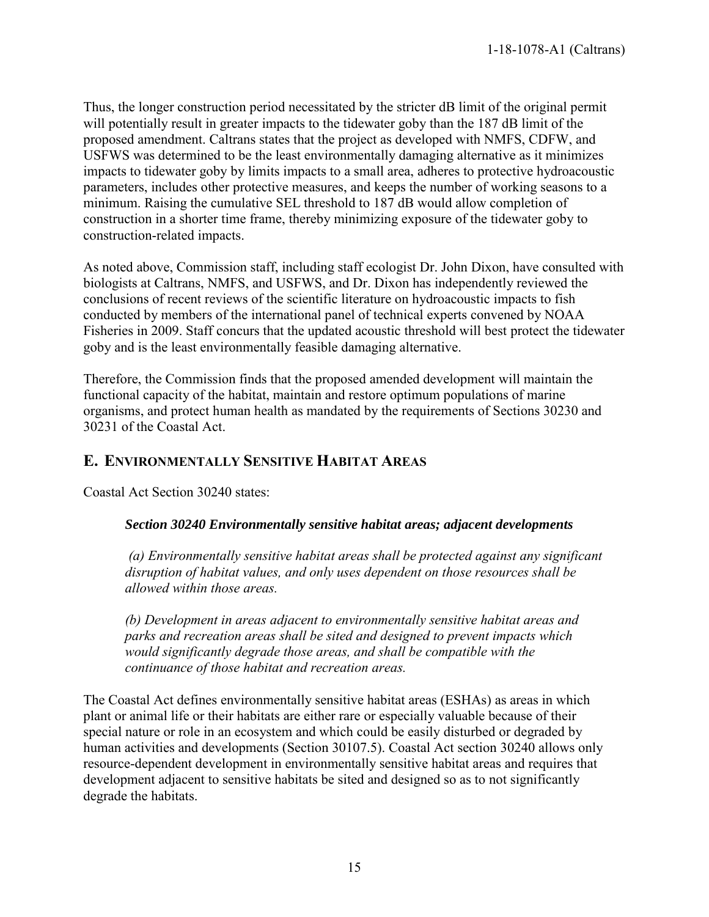Thus, the longer construction period necessitated by the stricter dB limit of the original permit will potentially result in greater impacts to the tidewater goby than the 187 dB limit of the proposed amendment. Caltrans states that the project as developed with NMFS, CDFW, and USFWS was determined to be the least environmentally damaging alternative as it minimizes impacts to tidewater goby by limits impacts to a small area, adheres to protective hydroacoustic parameters, includes other protective measures, and keeps the number of working seasons to a minimum. Raising the cumulative SEL threshold to 187 dB would allow completion of construction in a shorter time frame, thereby minimizing exposure of the tidewater goby to construction-related impacts.

As noted above, Commission staff, including staff ecologist Dr. John Dixon, have consulted with biologists at Caltrans, NMFS, and USFWS, and Dr. Dixon has independently reviewed the conclusions of recent reviews of the scientific literature on hydroacoustic impacts to fish conducted by members of the international panel of technical experts convened by NOAA Fisheries in 2009. Staff concurs that the updated acoustic threshold will best protect the tidewater goby and is the least environmentally feasible damaging alternative.

Therefore, the Commission finds that the proposed amended development will maintain the functional capacity of the habitat, maintain and restore optimum populations of marine organisms, and protect human health as mandated by the requirements of Sections 30230 and 30231 of the Coastal Act.

## <span id="page-14-0"></span>**E. ENVIRONMENTALLY SENSITIVE HABITAT AREAS**

Coastal Act Section 30240 states:

#### *Section 30240 Environmentally sensitive habitat areas; adjacent developments*

*(a) Environmentally sensitive habitat areas shall be protected against any significant disruption of habitat values, and only uses dependent on those resources shall be allowed within those areas.* 

*(b) Development in areas adjacent to environmentally sensitive habitat areas and parks and recreation areas shall be sited and designed to prevent impacts which would significantly degrade those areas, and shall be compatible with the continuance of those habitat and recreation areas.* 

The Coastal Act defines environmentally sensitive habitat areas (ESHAs) as areas in which plant or animal life or their habitats are either rare or especially valuable because of their special nature or role in an ecosystem and which could be easily disturbed or degraded by human activities and developments (Section 30107.5). Coastal Act section 30240 allows only resource-dependent development in environmentally sensitive habitat areas and requires that development adjacent to sensitive habitats be sited and designed so as to not significantly degrade the habitats.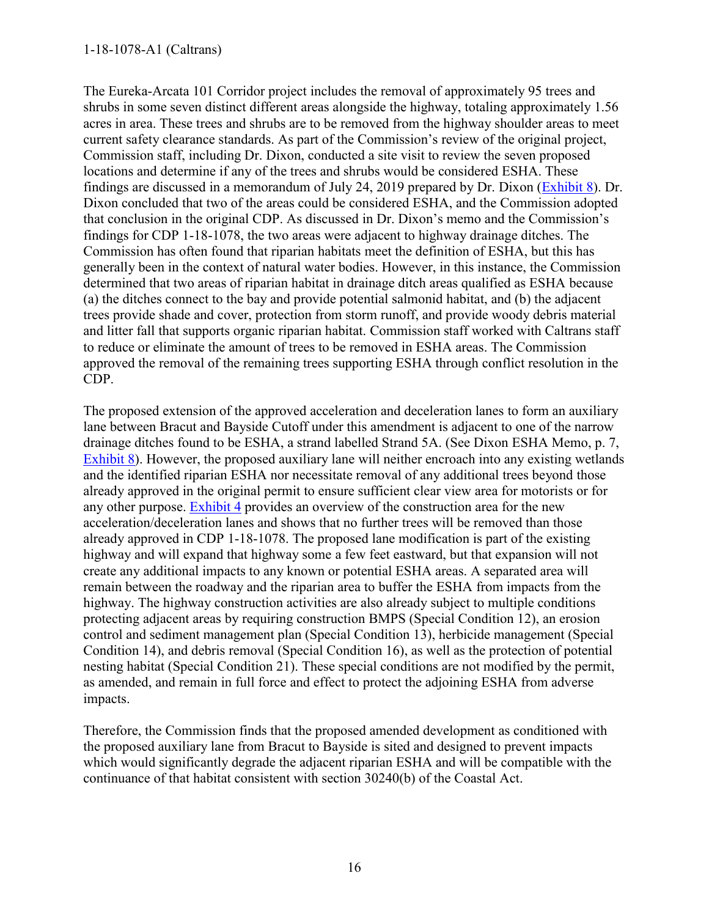The Eureka-Arcata 101 Corridor project includes the removal of approximately 95 trees and shrubs in some seven distinct different areas alongside the highway, totaling approximately 1.56 acres in area. These trees and shrubs are to be removed from the highway shoulder areas to meet current safety clearance standards. As part of the Commission's review of the original project, Commission staff, including Dr. Dixon, conducted a site visit to review the seven proposed locations and determine if any of the trees and shrubs would be considered ESHA. These findings are discussed in a memorandum of July 24, 2019 prepared by Dr. Dixon [\(Exhibit 8\)](https://documents.coastal.ca.gov/reports/2020/2/F10a/F10a-2-2020-exhibits.pdf). Dr. Dixon concluded that two of the areas could be considered ESHA, and the Commission adopted that conclusion in the original CDP. As discussed in Dr. Dixon's memo and the Commission's findings for CDP 1-18-1078, the two areas were adjacent to highway drainage ditches. The Commission has often found that riparian habitats meet the definition of ESHA, but this has generally been in the context of natural water bodies. However, in this instance, the Commission determined that two areas of riparian habitat in drainage ditch areas qualified as ESHA because (a) the ditches connect to the bay and provide potential salmonid habitat, and (b) the adjacent trees provide shade and cover, protection from storm runoff, and provide woody debris material and litter fall that supports organic riparian habitat. Commission staff worked with Caltrans staff to reduce or eliminate the amount of trees to be removed in ESHA areas. The Commission approved the removal of the remaining trees supporting ESHA through conflict resolution in the CDP.

The proposed extension of the approved acceleration and deceleration lanes to form an auxiliary lane between Bracut and Bayside Cutoff under this amendment is adjacent to one of the narrow drainage ditches found to be ESHA, a strand labelled Strand 5A. (See Dixon ESHA Memo, p. 7, [Exhibit 8\)](https://documents.coastal.ca.gov/reports/2020/2/F10a/F10a-2-2020-exhibits.pdf). However, the proposed auxiliary lane will neither encroach into any existing wetlands and the identified riparian ESHA nor necessitate removal of any additional trees beyond those already approved in the original permit to ensure sufficient clear view area for motorists or for any other purpose. [Exhibit 4](https://documents.coastal.ca.gov/reports/2020/2/F10a/F10a-2-2020-exhibits.pdf) provides an overview of the construction area for the new acceleration/deceleration lanes and shows that no further trees will be removed than those already approved in CDP 1-18-1078. The proposed lane modification is part of the existing highway and will expand that highway some a few feet eastward, but that expansion will not create any additional impacts to any known or potential ESHA areas. A separated area will remain between the roadway and the riparian area to buffer the ESHA from impacts from the highway. The highway construction activities are also already subject to multiple conditions protecting adjacent areas by requiring construction BMPS (Special Condition 12), an erosion control and sediment management plan (Special Condition 13), herbicide management (Special Condition 14), and debris removal (Special Condition 16), as well as the protection of potential nesting habitat (Special Condition 21). These special conditions are not modified by the permit, as amended, and remain in full force and effect to protect the adjoining ESHA from adverse impacts.

Therefore, the Commission finds that the proposed amended development as conditioned with the proposed auxiliary lane from Bracut to Bayside is sited and designed to prevent impacts which would significantly degrade the adjacent riparian ESHA and will be compatible with the continuance of that habitat consistent with section 30240(b) of the Coastal Act.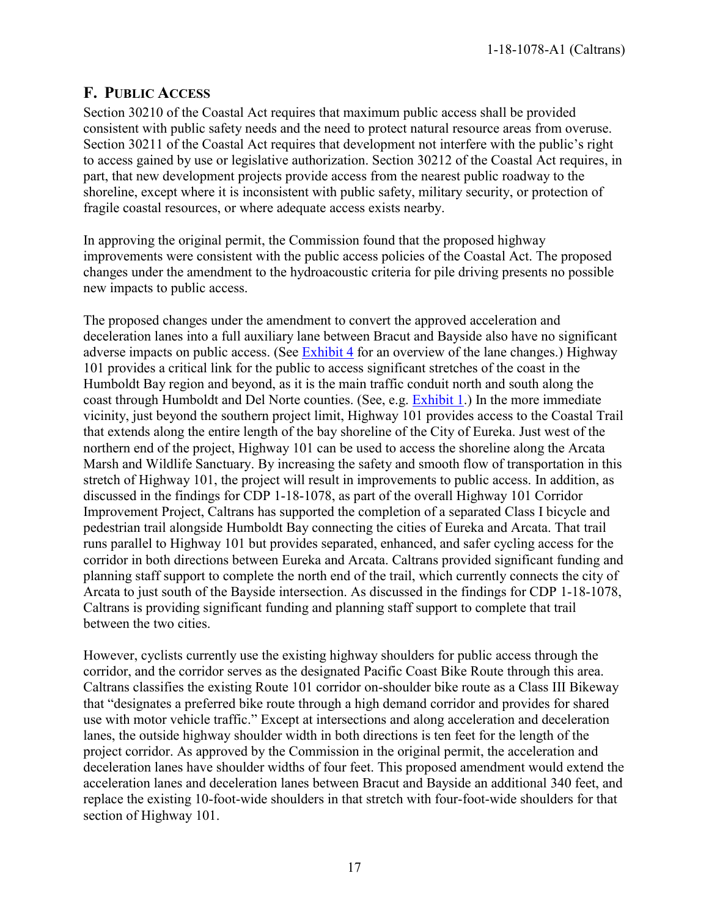## <span id="page-16-0"></span>**F. PUBLIC ACCESS**

Section 30210 of the Coastal Act requires that maximum public access shall be provided consistent with public safety needs and the need to protect natural resource areas from overuse. Section 30211 of the Coastal Act requires that development not interfere with the public's right to access gained by use or legislative authorization. Section 30212 of the Coastal Act requires, in part, that new development projects provide access from the nearest public roadway to the shoreline, except where it is inconsistent with public safety, military security, or protection of fragile coastal resources, or where adequate access exists nearby.

In approving the original permit, the Commission found that the proposed highway improvements were consistent with the public access policies of the Coastal Act. The proposed changes under the amendment to the hydroacoustic criteria for pile driving presents no possible new impacts to public access.

The proposed changes under the amendment to convert the approved acceleration and deceleration lanes into a full auxiliary lane between Bracut and Bayside also have no significant adverse impacts on public access. (See [Exhibit 4](https://documents.coastal.ca.gov/reports/2020/2/F10a/F10a-2-2020-exhibits.pdf) for an overview of the lane changes.) Highway 101 provides a critical link for the public to access significant stretches of the coast in the Humboldt Bay region and beyond, as it is the main traffic conduit north and south along the coast through Humboldt and Del Norte counties. (See, e.g. [Exhibit 1.](https://documents.coastal.ca.gov/reports/2020/2/F10a/F10a-2-2020-exhibits.pdf)) In the more immediate vicinity, just beyond the southern project limit, Highway 101 provides access to the Coastal Trail that extends along the entire length of the bay shoreline of the City of Eureka. Just west of the northern end of the project, Highway 101 can be used to access the shoreline along the Arcata Marsh and Wildlife Sanctuary. By increasing the safety and smooth flow of transportation in this stretch of Highway 101, the project will result in improvements to public access. In addition, as discussed in the findings for CDP 1-18-1078, as part of the overall Highway 101 Corridor Improvement Project, Caltrans has supported the completion of a separated Class I bicycle and pedestrian trail alongside Humboldt Bay connecting the cities of Eureka and Arcata. That trail runs parallel to Highway 101 but provides separated, enhanced, and safer cycling access for the corridor in both directions between Eureka and Arcata. Caltrans provided significant funding and planning staff support to complete the north end of the trail, which currently connects the city of Arcata to just south of the Bayside intersection. As discussed in the findings for CDP 1-18-1078, Caltrans is providing significant funding and planning staff support to complete that trail between the two cities.

However, cyclists currently use the existing highway shoulders for public access through the corridor, and the corridor serves as the designated Pacific Coast Bike Route through this area. Caltrans classifies the existing Route 101 corridor on-shoulder bike route as a Class III Bikeway that "designates a preferred bike route through a high demand corridor and provides for shared use with motor vehicle traffic." Except at intersections and along acceleration and deceleration lanes, the outside highway shoulder width in both directions is ten feet for the length of the project corridor. As approved by the Commission in the original permit, the acceleration and deceleration lanes have shoulder widths of four feet. This proposed amendment would extend the acceleration lanes and deceleration lanes between Bracut and Bayside an additional 340 feet, and replace the existing 10-foot-wide shoulders in that stretch with four-foot-wide shoulders for that section of Highway 101.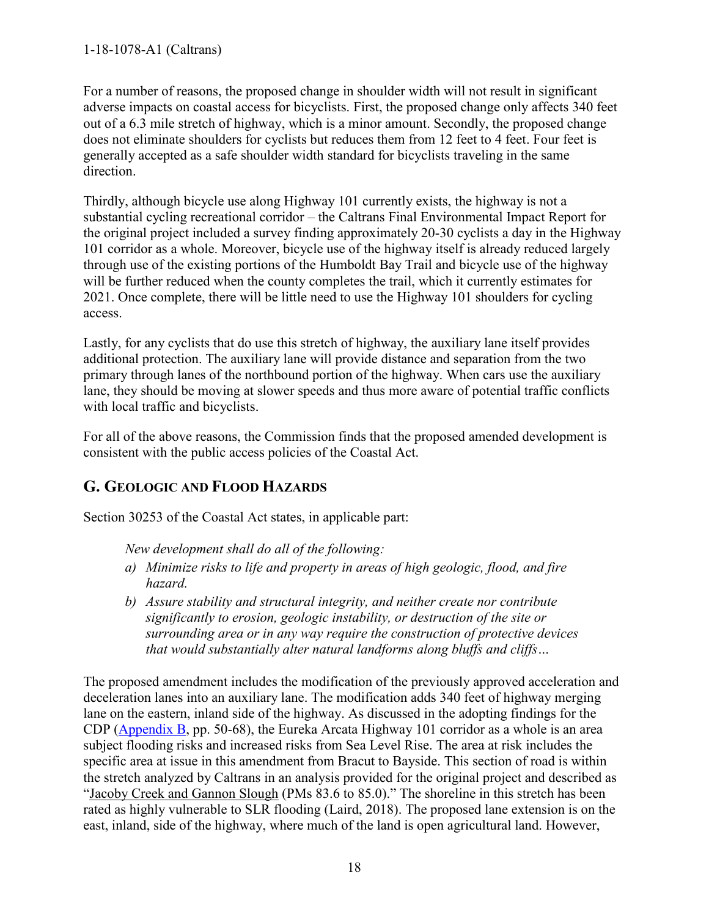For a number of reasons, the proposed change in shoulder width will not result in significant adverse impacts on coastal access for bicyclists. First, the proposed change only affects 340 feet out of a 6.3 mile stretch of highway, which is a minor amount. Secondly, the proposed change does not eliminate shoulders for cyclists but reduces them from 12 feet to 4 feet. Four feet is generally accepted as a safe shoulder width standard for bicyclists traveling in the same direction.

Thirdly, although bicycle use along Highway 101 currently exists, the highway is not a substantial cycling recreational corridor – the Caltrans Final Environmental Impact Report for the original project included a survey finding approximately 20-30 cyclists a day in the Highway 101 corridor as a whole. Moreover, bicycle use of the highway itself is already reduced largely through use of the existing portions of the Humboldt Bay Trail and bicycle use of the highway will be further reduced when the county completes the trail, which it currently estimates for 2021. Once complete, there will be little need to use the Highway 101 shoulders for cycling access.

Lastly, for any cyclists that do use this stretch of highway, the auxiliary lane itself provides additional protection. The auxiliary lane will provide distance and separation from the two primary through lanes of the northbound portion of the highway. When cars use the auxiliary lane, they should be moving at slower speeds and thus more aware of potential traffic conflicts with local traffic and bicyclists.

For all of the above reasons, the Commission finds that the proposed amended development is consistent with the public access policies of the Coastal Act.

## <span id="page-17-0"></span>**G. GEOLOGIC AND FLOOD HAZARDS**

Section 30253 of the Coastal Act states, in applicable part:

*New development shall do all of the following:* 

- *a) Minimize risks to life and property in areas of high geologic, flood, and fire hazard.*
- *b) Assure stability and structural integrity, and neither create nor contribute significantly to erosion, geologic instability, or destruction of the site or surrounding area or in any way require the construction of protective devices that would substantially alter natural landforms along bluffs and cliffs…*

The proposed amendment includes the modification of the previously approved acceleration and deceleration lanes into an auxiliary lane. The modification adds 340 feet of highway merging lane on the eastern, inland side of the highway. As discussed in the adopting findings for the CDP [\(Appendix B,](https://documents.coastal.ca.gov/reports/2020/2/F10a/F10a-2-2020-appendix.pdf) pp. 50-68), the Eureka Arcata Highway 101 corridor as a whole is an area subject flooding risks and increased risks from Sea Level Rise. The area at risk includes the specific area at issue in this amendment from Bracut to Bayside. This section of road is within the stretch analyzed by Caltrans in an analysis provided for the original project and described as "Jacoby Creek and Gannon Slough (PMs 83.6 to 85.0)." The shoreline in this stretch has been rated as highly vulnerable to SLR flooding (Laird, 2018). The proposed lane extension is on the east, inland, side of the highway, where much of the land is open agricultural land. However,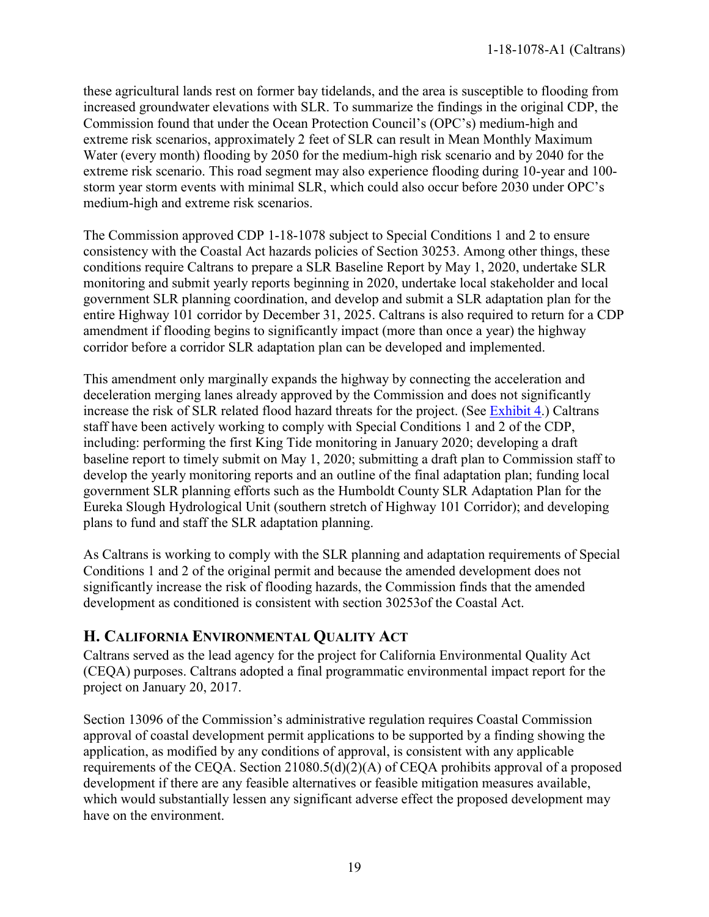these agricultural lands rest on former bay tidelands, and the area is susceptible to flooding from increased groundwater elevations with SLR. To summarize the findings in the original CDP, the Commission found that under the Ocean Protection Council's (OPC's) medium-high and extreme risk scenarios, approximately 2 feet of SLR can result in Mean Monthly Maximum Water (every month) flooding by 2050 for the medium-high risk scenario and by 2040 for the extreme risk scenario. This road segment may also experience flooding during 10-year and 100 storm year storm events with minimal SLR, which could also occur before 2030 under OPC's medium-high and extreme risk scenarios.

The Commission approved CDP 1-18-1078 subject to Special Conditions 1 and 2 to ensure consistency with the Coastal Act hazards policies of Section 30253. Among other things, these conditions require Caltrans to prepare a SLR Baseline Report by May 1, 2020, undertake SLR monitoring and submit yearly reports beginning in 2020, undertake local stakeholder and local government SLR planning coordination, and develop and submit a SLR adaptation plan for the entire Highway 101 corridor by December 31, 2025. Caltrans is also required to return for a CDP amendment if flooding begins to significantly impact (more than once a year) the highway corridor before a corridor SLR adaptation plan can be developed and implemented.

This amendment only marginally expands the highway by connecting the acceleration and deceleration merging lanes already approved by the Commission and does not significantly increase the risk of SLR related flood hazard threats for the project. (See [Exhibit 4.](https://documents.coastal.ca.gov/reports/2020/2/F10a/F10a-2-2020-exhibits.pdf)) Caltrans staff have been actively working to comply with Special Conditions 1 and 2 of the CDP, including: performing the first King Tide monitoring in January 2020; developing a draft baseline report to timely submit on May 1, 2020; submitting a draft plan to Commission staff to develop the yearly monitoring reports and an outline of the final adaptation plan; funding local government SLR planning efforts such as the Humboldt County SLR Adaptation Plan for the Eureka Slough Hydrological Unit (southern stretch of Highway 101 Corridor); and developing plans to fund and staff the SLR adaptation planning.

As Caltrans is working to comply with the SLR planning and adaptation requirements of Special Conditions 1 and 2 of the original permit and because the amended development does not significantly increase the risk of flooding hazards, the Commission finds that the amended development as conditioned is consistent with section 30253of the Coastal Act.

## <span id="page-18-0"></span>**H. CALIFORNIA ENVIRONMENTAL QUALITY ACT**

Caltrans served as the lead agency for the project for California Environmental Quality Act (CEQA) purposes. Caltrans adopted a final programmatic environmental impact report for the project on January 20, 2017.

Section 13096 of the Commission's administrative regulation requires Coastal Commission approval of coastal development permit applications to be supported by a finding showing the application, as modified by any conditions of approval, is consistent with any applicable requirements of the CEQA. Section 21080.5(d)(2)(A) of CEQA prohibits approval of a proposed development if there are any feasible alternatives or feasible mitigation measures available, which would substantially lessen any significant adverse effect the proposed development may have on the environment.